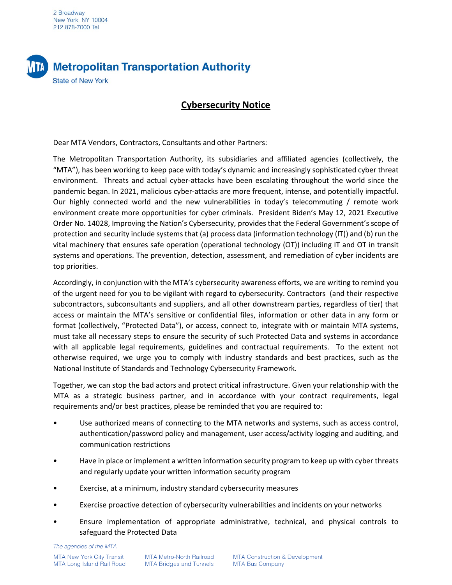2 Broadway New York, NY 10004 212 878-7000 Tel



## **Cybersecurity Notice**

Dear MTA Vendors, Contractors, Consultants and other Partners:

The Metropolitan Transportation Authority, its subsidiaries and affiliated agencies (collectively, the "MTA"), has been working to keep pace with today's dynamic and increasingly sophisticated cyber threat environment. Threats and actual cyber-attacks have been escalating throughout the world since the pandemic began. In 2021, malicious cyber-attacks are more frequent, intense, and potentially impactful. Our highly connected world and the new vulnerabilities in today's telecommuting / remote work environment create more opportunities for cyber criminals. President Biden's May 12, 2021 Executive Order No. 14028, Improving the Nation's Cybersecurity, provides that the Federal Government's scope of protection and security include systems that (a) process data (information technology (IT)) and (b) run the vital machinery that ensures safe operation (operational technology (OT)) including IT and OT in transit systems and operations. The prevention, detection, assessment, and remediation of cyber incidents are top priorities.

Accordingly, in conjunction with the MTA's cybersecurity awareness efforts, we are writing to remind you of the urgent need for you to be vigilant with regard to cybersecurity. Contractors (and their respective subcontractors, subconsultants and suppliers, and all other downstream parties, regardless of tier) that access or maintain the MTA's sensitive or confidential files, information or other data in any form or format (collectively, "Protected Data"), or access, connect to, integrate with or maintain MTA systems, must take all necessary steps to ensure the security of such Protected Data and systems in accordance with all applicable legal requirements, guidelines and contractual requirements. To the extent not otherwise required, we urge you to comply with industry standards and best practices, such as the National Institute of Standards and Technology Cybersecurity Framework.

Together, we can stop the bad actors and protect critical infrastructure. Given your relationship with the MTA as a strategic business partner, and in accordance with your contract requirements, legal requirements and/or best practices, please be reminded that you are required to:

- Use authorized means of connecting to the MTA networks and systems, such as access control, authentication/password policy and management, user access/activity logging and auditing, and communication restrictions
- Have in place or implement a written information security program to keep up with cyber threats and regularly update your written information security program
- Exercise, at a minimum, industry standard cybersecurity measures
- Exercise proactive detection of cybersecurity vulnerabilities and incidents on your networks
- Ensure implementation of appropriate administrative, technical, and physical controls to safeguard the Protected Data

The agencies of the MTA